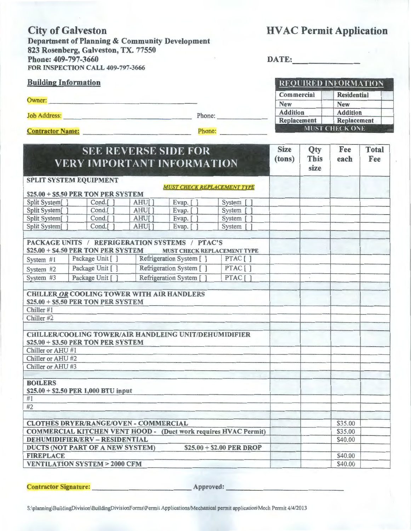City of Galveston HVAC Permit Application Department of Planning & Community Development 823 Rosenberg, Galveston, TX. 77550 Phone: 409-797-3660 DATE: FOR INSPECTION CALL 409-797-3666

SEE REVERSE SIDE FOR

| <b>REQUIRED INFORMATION</b>              |                       |  |  |  |  |
|------------------------------------------|-----------------------|--|--|--|--|
| Commercial                               | <b>Residential</b>    |  |  |  |  |
| <b>New</b>                               | <b>New</b>            |  |  |  |  |
| <b>Addition</b><br><b>Addition</b>       |                       |  |  |  |  |
| <b>Replacement</b><br><b>Replacement</b> |                       |  |  |  |  |
|                                          | <b>MUST CHECK ONE</b> |  |  |  |  |

Building Information

Owner: ---------------------------------------

Job Address: \_\_\_\_\_\_\_\_\_\_\_\_\_\_\_\_\_\_\_ \_ Phone: \_\_\_\_\_\_\_\_\_\_\_ \_

Contractor Name: hone: \_\_\_\_\_\_\_ \_

| <b>SEE REVERSE SIDE FOR</b>                                            |                                                                                                                                                                                          |       |                                    |                           | <b>Size</b> | Qty                 | Fee     | <b>Total</b> |
|------------------------------------------------------------------------|------------------------------------------------------------------------------------------------------------------------------------------------------------------------------------------|-------|------------------------------------|---------------------------|-------------|---------------------|---------|--------------|
|                                                                        | <b>VERY IMPORTANT INFORMATION</b>                                                                                                                                                        |       |                                    |                           | (tons)      | <b>This</b><br>size | each    | Fee          |
|                                                                        | SPLIT SYSTEM EQUIPMENT                                                                                                                                                                   |       |                                    |                           |             |                     |         |              |
|                                                                        | \$25.00 + \$5.50 PER TON PER SYSTEM                                                                                                                                                      |       | <b>MUST CHECK REPLACEMENT TYPE</b> |                           |             |                     |         |              |
| Split System[]                                                         | Cond.[]                                                                                                                                                                                  | AHU[] | Evap. [                            | System [                  |             |                     |         |              |
| Split System[]                                                         | Cond.[ ]                                                                                                                                                                                 | AHU[] | Evap. $[$ ]                        | System $\lceil$ $\rceil$  |             |                     |         |              |
| Split System[]                                                         | Cond.[]                                                                                                                                                                                  | AHU[] | Evap. [ ]                          | System $\lceil$ 1         |             |                     |         |              |
| Split System[                                                          | Cond.[                                                                                                                                                                                   | AHU[] | Evap. [                            | System [                  |             |                     |         |              |
|                                                                        | PACKAGE UNITS / REFRIGERATION SYSTEMS / PTAC'S<br>\$25.00 + \$4.50 PER TON PER SYSTEM                                                                                                    |       | MUST CHECK REPLACEMENT TYPE        |                           |             |                     |         |              |
| System #1                                                              | Package Unit []                                                                                                                                                                          |       | Refrigeration System [ ]           | PTAC[]                    |             |                     |         |              |
| System $#2$                                                            | Package Unit [ ]                                                                                                                                                                         |       | Refrigeration System [ ]           | PTAC[]                    |             |                     |         |              |
| System $#3$                                                            | Package Unit [ ]                                                                                                                                                                         |       | Refrigeration System [ ]           | PTAC[]                    |             |                     |         |              |
| Chiller #1<br>Chiller #2                                               | CHILLER OR COOLING TOWER WITH AIR HANDLERS<br>\$25.00 + \$5.50 PER TON PER SYSTEM<br><b>CHILLER/COOLING TOWER/AIR HANDLEING UNIT/DEHUMIDIFIER</b><br>\$25.00 + \$3.50 PER TON PER SYSTEM |       |                                    |                           |             |                     |         |              |
| Chiller or AHU #1                                                      |                                                                                                                                                                                          |       |                                    |                           |             |                     |         |              |
| Chiller or AHU #2                                                      |                                                                                                                                                                                          |       |                                    |                           |             |                     |         |              |
| Chiller or AHU #3                                                      |                                                                                                                                                                                          |       |                                    |                           |             |                     |         |              |
| <b>BOILERS</b><br>#1                                                   | \$25.00 + \$2.50 PER 1,000 BTU input                                                                                                                                                     |       |                                    |                           |             |                     |         |              |
| #2                                                                     |                                                                                                                                                                                          |       |                                    |                           |             |                     |         |              |
|                                                                        |                                                                                                                                                                                          |       |                                    |                           |             |                     |         |              |
| <b>CLOTHES DRYER/RANGE/OVEN - COMMERCIAL</b>                           |                                                                                                                                                                                          |       |                                    |                           |             |                     | \$35.00 |              |
| <b>COMMERCIAL KITCHEN VENT HOOD - (Duct work requires HVAC Permit)</b> |                                                                                                                                                                                          |       |                                    |                           |             |                     | \$35.00 |              |
| <b>DEHUMIDIFIER/ERV - RESIDENTIAL</b>                                  |                                                                                                                                                                                          |       |                                    |                           |             |                     | \$40.00 |              |
|                                                                        | DUCTS (NOT PART OF A NEW SYSTEM)                                                                                                                                                         |       |                                    | $$25.00 + $2.00$ PER DROP |             |                     |         |              |
| <b>FIREPLACE</b>                                                       |                                                                                                                                                                                          |       |                                    |                           |             |                     | \$40.00 |              |
| <b>VENTILATION SYSTEM &gt; 2000 CFM</b>                                |                                                                                                                                                                                          |       |                                    |                           |             |                     | \$40.00 |              |

Contractor Signature: Approved: Approved: Approved: Approved: Approved: Approved: Approved: Approved: Approved: Approved: Approved: Approved: Approved: Approved: Approved: Approved: Approved: Approved: Approved: Approved:

S:\planning\BuildingDivision\BuildingDivisionForms\Permit Applications/Mechanical permit application\Mech Permit 4/4/2013